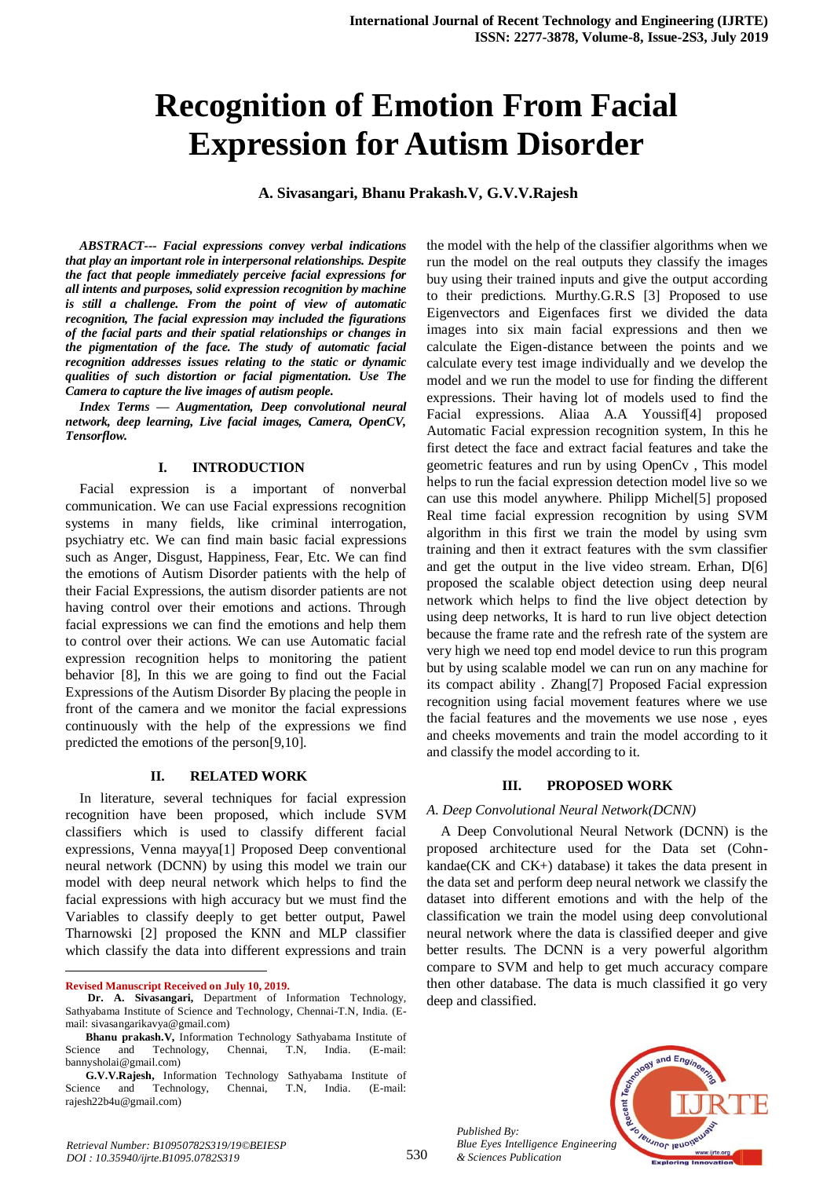# **Recognition of Emotion From Facial Expression for Autism Disorder**

**A. Sivasangari, Bhanu Prakash.V, G.V.V.Rajesh**

*ABSTRACT--- Facial expressions convey verbal indications that play an important role in interpersonal relationships. Despite the fact that people immediately perceive facial expressions for all intents and purposes, solid expression recognition by machine is still a challenge. From the point of view of automatic recognition, The facial expression may included the figurations of the facial parts and their spatial relationships or changes in the pigmentation of the face. The study of automatic facial recognition addresses issues relating to the static or dynamic qualities of such distortion or facial pigmentation. Use The Camera to capture the live images of autism people.*

*Index Terms — Augmentation, Deep convolutional neural network, deep learning, Live facial images, Camera, OpenCV, Tensorflow.*

#### **I. INTRODUCTION**

Facial expression is a important of nonverbal communication. We can use Facial expressions recognition systems in many fields, like criminal interrogation, psychiatry etc. We can find main basic facial expressions such as Anger, Disgust, Happiness, Fear, Etc. We can find the emotions of Autism Disorder patients with the help of their Facial Expressions, the autism disorder patients are not having control over their emotions and actions. Through facial expressions we can find the emotions and help them to control over their actions. We can use Automatic facial expression recognition helps to monitoring the patient behavior [8], In this we are going to find out the Facial Expressions of the Autism Disorder By placing the people in front of the camera and we monitor the facial expressions continuously with the help of the expressions we find predicted the emotions of the person[9,10].

#### **II. RELATED WORK**

In literature, several techniques for facial expression recognition have been proposed, which include SVM classifiers which is used to classify different facial expressions, Venna mayya[1] Proposed Deep conventional neural network (DCNN) by using this model we train our model with deep neural network which helps to find the facial expressions with high accuracy but we must find the Variables to classify deeply to get better output, Pawel Tharnowski [2] proposed the KNN and MLP classifier which classify the data into different expressions and train

**Revised Manuscript Received on July 10, 2019.**

 $\ddot{\phantom{a}}$ 

the model with the help of the classifier algorithms when we run the model on the real outputs they classify the images buy using their trained inputs and give the output according to their predictions. Murthy.G.R.S [3] Proposed to use Eigenvectors and Eigenfaces first we divided the data images into six main facial expressions and then we calculate the Eigen-distance between the points and we calculate every test image individually and we develop the model and we run the model to use for finding the different expressions. Their having lot of models used to find the Facial expressions. Aliaa A.A Youssif[4] proposed Automatic Facial expression recognition system, In this he first detect the face and extract facial features and take the geometric features and run by using OpenCv , This model helps to run the facial expression detection model live so we can use this model anywhere. Philipp Michel[5] proposed Real time facial expression recognition by using SVM algorithm in this first we train the model by using svm training and then it extract features with the svm classifier and get the output in the live video stream. Erhan, D[6] proposed the scalable object detection using deep neural network which helps to find the live object detection by using deep networks, It is hard to run live object detection because the frame rate and the refresh rate of the system are very high we need top end model device to run this program but by using scalable model we can run on any machine for its compact ability . Zhang[7] Proposed Facial expression recognition using facial movement features where we use the facial features and the movements we use nose , eyes and cheeks movements and train the model according to it and classify the model according to it.

#### **III. PROPOSED WORK**

#### *A. Deep Convolutional Neural Network(DCNN)*

A Deep Convolutional Neural Network (DCNN) is the proposed architecture used for the Data set (Cohnkandae(CK and CK+) database) it takes the data present in the data set and perform deep neural network we classify the dataset into different emotions and with the help of the classification we train the model using deep convolutional neural network where the data is classified deeper and give better results. The DCNN is a very powerful algorithm compare to SVM and help to get much accuracy compare then other database. The data is much classified it go very deep and classified.





**Dr. A. Sivasangari,** Department of Information Technology, Sathyabama Institute of Science and Technology, Chennai-T.N, India. (Email: sivasangarikavya@gmail.com)

**Bhanu prakash.V,** Information Technology Sathyabama Institute of Science and Technology, Chennai, T.N, India. (E-mail: bannysholai@gmail.com)

**G.V.V.Rajesh,** Information Technology Sathyabama Institute of Science and Technology, Chennai, T.N, India. (E-mail: rajesh22b4u@gmail.com)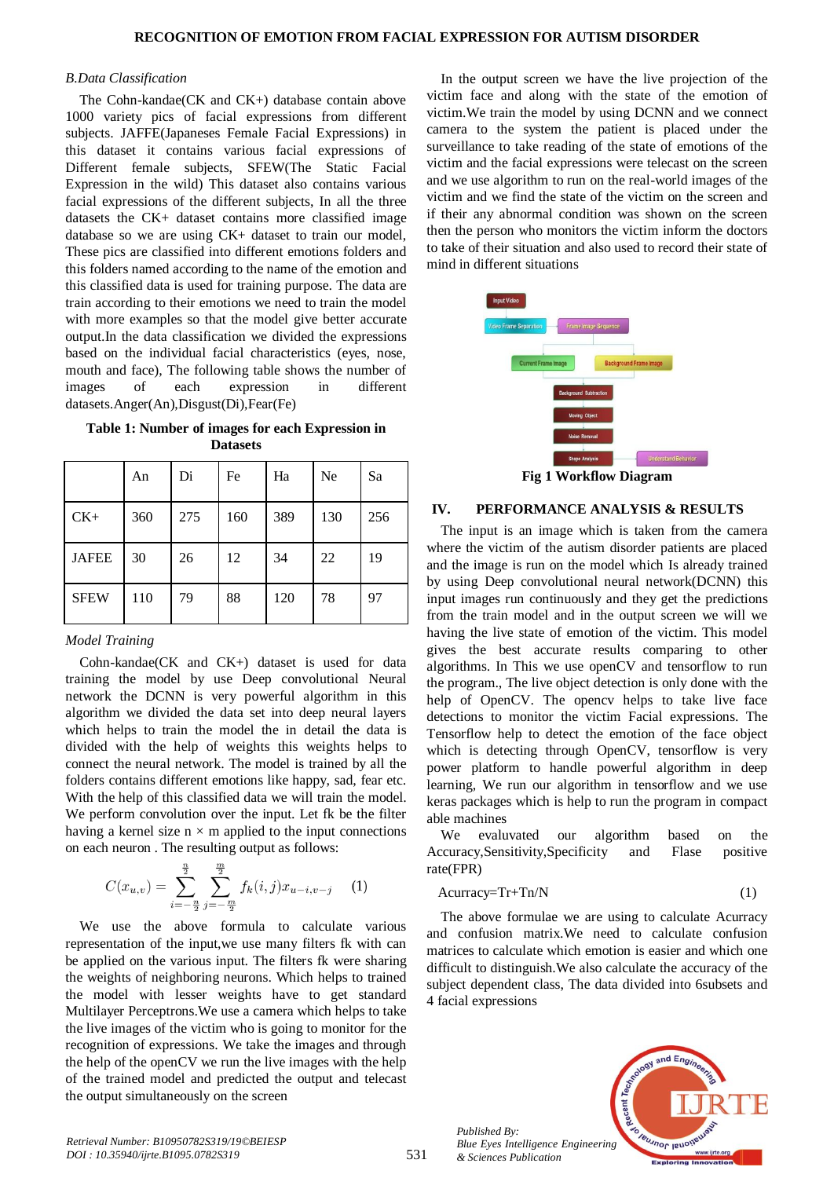#### *B.Data Classification*

The Cohn-kandae(CK and CK+) database contain above 1000 variety pics of facial expressions from different subjects. JAFFE(Japaneses Female Facial Expressions) in this dataset it contains various facial expressions of Different female subjects, SFEW(The Static Facial Expression in the wild) This dataset also contains various facial expressions of the different subjects, In all the three datasets the CK+ dataset contains more classified image database so we are using CK+ dataset to train our model, These pics are classified into different emotions folders and this folders named according to the name of the emotion and this classified data is used for training purpose. The data are train according to their emotions we need to train the model with more examples so that the model give better accurate output.In the data classification we divided the expressions based on the individual facial characteristics (eyes, nose, mouth and face), The following table shows the number of images of each expression in different datasets.Anger(An),Disgust(Di),Fear(Fe)

**Table 1: Number of images for each Expression in Datasets**

|              | An  | Di  | Fe  | Ha  | Ne  | Sa  |
|--------------|-----|-----|-----|-----|-----|-----|
| $CK+$        | 360 | 275 | 160 | 389 | 130 | 256 |
| <b>JAFEE</b> | 30  | 26  | 12  | 34  | 22  | 19  |
| <b>SFEW</b>  | 110 | 79  | 88  | 120 | 78  | 97  |

### *Model Training*

Cohn-kandae(CK and CK+) dataset is used for data training the model by use Deep convolutional Neural network the DCNN is very powerful algorithm in this algorithm we divided the data set into deep neural layers which helps to train the model the in detail the data is divided with the help of weights this weights helps to connect the neural network. The model is trained by all the folders contains different emotions like happy, sad, fear etc. With the help of this classified data we will train the model. We perform convolution over the input. Let fk be the filter having a kernel size  $n \times m$  applied to the input connections on each neuron . The resulting output as follows:

$$
C(x_{u,v}) = \sum_{i=-\frac{n}{2}}^{\frac{n}{2}} \sum_{j=-\frac{m}{2}}^{\frac{m}{2}} f_k(i,j) x_{u-i,v-j} \quad (1)
$$

We use the above formula to calculate various representation of the input,we use many filters fk with can be applied on the various input. The filters fk were sharing the weights of neighboring neurons. Which helps to trained the model with lesser weights have to get standard Multilayer Perceptrons.We use a camera which helps to take the live images of the victim who is going to monitor for the recognition of expressions. We take the images and through the help of the openCV we run the live images with the help of the trained model and predicted the output and telecast the output simultaneously on the screen

In the output screen we have the live projection of the victim face and along with the state of the emotion of victim.We train the model by using DCNN and we connect camera to the system the patient is placed under the surveillance to take reading of the state of emotions of the victim and the facial expressions were telecast on the screen and we use algorithm to run on the real-world images of the victim and we find the state of the victim on the screen and if their any abnormal condition was shown on the screen then the person who monitors the victim inform the doctors to take of their situation and also used to record their state of mind in different situations



**Fig 1 Workflow Diagram**

## **IV. PERFORMANCE ANALYSIS & RESULTS**

The input is an image which is taken from the camera where the victim of the autism disorder patients are placed and the image is run on the model which Is already trained by using Deep convolutional neural network(DCNN) this input images run continuously and they get the predictions from the train model and in the output screen we will we having the live state of emotion of the victim. This model gives the best accurate results comparing to other algorithms. In This we use openCV and tensorflow to run the program., The live object detection is only done with the help of OpenCV. The opencv helps to take live face detections to monitor the victim Facial expressions. The Tensorflow help to detect the emotion of the face object which is detecting through OpenCV, tensorflow is very power platform to handle powerful algorithm in deep learning, We run our algorithm in tensorflow and we use keras packages which is help to run the program in compact able machines

We evaluvated our algorithm based on the Accuracy,Sensitivity,Specificity and Flase positive rate(FPR)

$$
A \text{curracy} = \text{Tr} + \text{Tr} / \text{N} \tag{1}
$$

The above formulae we are using to calculate Acurracy and confusion matrix.We need to calculate confusion matrices to calculate which emotion is easier and which one difficult to distinguish.We also calculate the accuracy of the subject dependent class, The data divided into 6subsets and 4 facial expressions



*Published By:*

*& Sciences Publication*